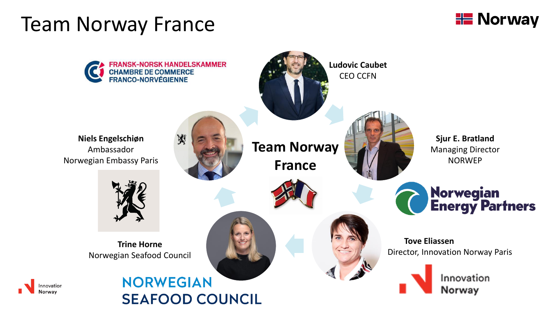### Team Norway France



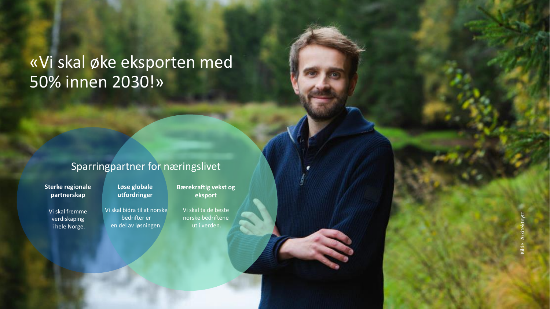### «Vi skal øke eksporten med 50% innen 2030!»

#### Sparringpartner for næringslivet

**Sterke regionale partnerskap**

**Løse globale utfordringer**

en del av løsningen.

Vi skal fremme verdiskaping i hele Norge.

Vi skal bidra til at norske bedrifter er

**Bærekraftig vekst og eksport**

Vi skal ta de beste norske bedriftene ut i verden.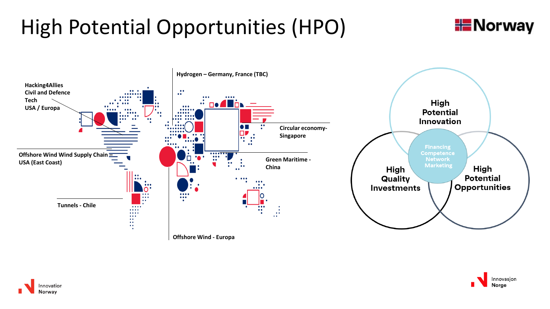# High Potential Opportunities (HPO)